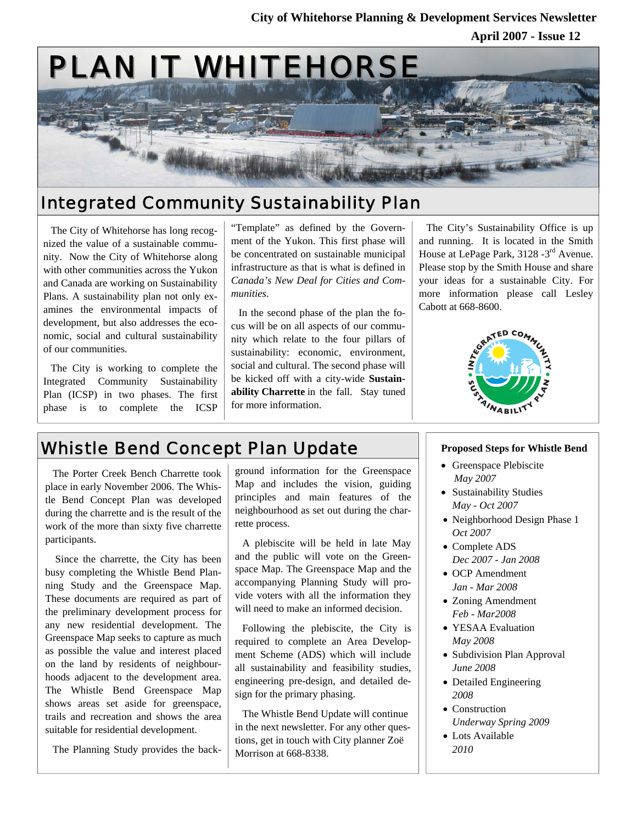### **April 2007 - Issue 12 City of Whitehorse Planning & Development Services Newsletter**



### Integrated Community Sustainability Plan

The City of Whitehorse has long recognized the value of a sustainable community. Now the City of Whitehorse along with other communities across the Yukon and Canada are working on Sustainability Plans. A sustainability plan not only examines the environmental impacts of development, but also addresses the economic, social and cultural sustainability of our communities.

The City is working to complete the Integrated Community Sustainability Plan (ICSP) in two phases. The first phase is to complete the ICSP

"Template" as defined by the Government of the Yukon. This first phase will be concentrated on sustainable municipal infrastructure as that is what is defined in *Canada's New Deal for Cities and Communities*.

In the second phase of the plan the focus will be on all aspects of our community which relate to the four pillars of sustainability: economic, environment, social and cultural. The second phase will be kicked off with a city-wide **Sustainability Charrette** in the fall. Stay tuned for more information.

The City's Sustainability Office is up and running. It is located in the Smith House at LePage Park, 3128 -3rd Avenue. Please stop by the Smith House and share your ideas for a sustainable City. For more information please call Lesley Cabott at 668-8600.



# Whistle Bend Concept Plan Update **Proposed Steps for Whistle Bend**

The Porter Creek Bench Charrette took place in early November 2006. The Whistle Bend Concept Plan was developed during the charrette and is the result of the work of the more than sixty five charrette participants.

 Since the charrette, the City has been busy completing the Whistle Bend Planning Study and the Greenspace Map. These documents are required as part of the preliminary development process for any new residential development. The Greenspace Map seeks to capture as much as possible the value and interest placed on the land by residents of neighbourhoods adjacent to the development area. The Whistle Bend Greenspace Map shows areas set aside for greenspace, trails and recreation and shows the area suitable for residential development.

The Planning Study provides the back-

ground information for the Greenspace Map and includes the vision, guiding principles and main features of the neighbourhood as set out during the charrette process.

A plebiscite will be held in late May and the public will vote on the Greenspace Map. The Greenspace Map and the accompanying Planning Study will provide voters with all the information they will need to make an informed decision.

Following the plebiscite, the City is required to complete an Area Development Scheme (ADS) which will include all sustainability and feasibility studies, engineering pre-design, and detailed design for the primary phasing.

The Whistle Bend Update will continue in the next newsletter. For any other questions, get in touch with City planner Zoë Morrison at 668-8338.

- Greenspace Plebiscite *May 2007*
- Sustainability Studies *May - Oct 2007*
- Neighborhood Design Phase 1 *Oct 2007*
- Complete ADS *Dec 2007 - Jan 2008*
- OCP Amendment *Jan - Mar 2008*
- Zoning Amendment *Feb - Mar2008*
- YESAA Evaluation *May 2008*
- Subdivision Plan Approval *June 2008*
- Detailed Engineering *2008*
- Construction *Underway Spring 2009*
- Lots Available *2010*